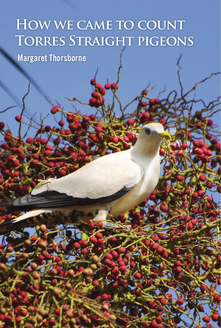## **How we came to count Torres Straight pigeons**

-1-

 **Margaret Thorsborne**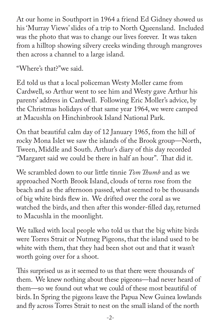At our home in Southport in 1964 a friend Ed Gidney showed us his 'Murray Views' slides of a trip to North Queensland. Included was the photo that was to change our lives forever. It was taken from a hilltop showing silvery creeks winding through mangroves then across a channel to a large island.

"Where's that?"we said.

Ed told us that a local policeman Westy Moller came from Cardwell, so Arthur went to see him and Westy gave Arthur his parents' address in Cardwell. Following Eric Moller's advice, by the Christmas holidays of that same year 1964, we were camped at Macushla on Hinchinbrook Island National Park.

On that beautiful calm day of 12 January 1965, from the hill of rocky Mona Islet we saw the islands of the Brook group—North, Tween, Middle and South. Arthur's diary of this day recorded "Margaret said we could be there in half an hour". That did it.

We scrambled down to our little tinnie *Tom Thumb* and as we approached North Brook Island, clouds of terns rose from the beach and as the afternoon passed, what seemed to be thousands of big white birds flew in. We drifted over the coral as we watched the birds, and then after this wonder-filled day, returned to Macushla in the moonlight.

We talked with local people who told us that the big white birds were Torres Strait or Nutmeg Pigeons, that the island used to be white with them, that they had been shot out and that it wasn't worth going over for a shoot.

This surprised us as it seemed to us that there were thousands of them. We knew nothing about these pigeons—had never heard of them—so we found out what we could of these most beautiful of birds. In Spring the pigeons leave the Papua New Guinea lowlands and fly across Torres Strait to nest on the small island of the north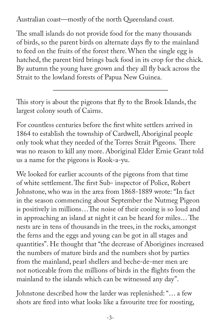Australian coast—mostly of the north Queensland coast.

The small islands do not provide food for the many thousands of birds, so the parent birds on alternate days fly to the mainland to feed on the fruits of the forest there. When the single egg is hatched, the parent bird brings back food in its crop for the chick. By autumn the young have grown and they all fly back across the Strait to the lowland forests of Papua New Guinea.

This story is about the pigeons that fly to the Brook Islands, the largest colony south of Cairns.

For countless centuries before the first white settlers arrived in 1864 to establish the township of Cardwell, Aboriginal people only took what they needed of the Torres Strait Pigeons. There was no reason to kill any more. Aboriginal Elder Ernie Grant told us a name for the pigeons is Rook-a-yu.

We looked for earlier accounts of the pigeons from that time of white settlement. The first Sub- inspector of Police, Robert Johnstone, who was in the area from 1868-1889 wrote: "In fact in the season commencing about September the Nutmeg Pigeon is positively in millions…The noise of their cooing is so loud and in approaching an island at night it can be heard for miles… The nests are in tens of thousands in the trees, in the rocks, amongst the ferns and the eggs and young can be got in all stages and quantities". He thought that "the decrease of Aborigines increased the numbers of mature birds and the numbers shot by parties from the mainland, pearl shellers and beche-de-mer men are not noticeable from the millions of birds in the flights from the mainland to the islands which can be witnessed any day".

Johnstone described how the larder was replenished: "… a few shots are fired into what looks like a favourite tree for roosting,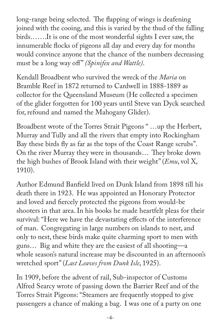long-range being selected. The flapping of wings is deafening joined with the cooing, and this is varied by the thud of the falling birds…….It is one of the most wonderful sights I ever saw, the innumerable flocks of pigeons all day and every day for months would convince anyone that the chance of the numbers decreasing must be a long way off " *(Spinifex and Wattle)*.

Kendall Broadbent who survived the wreck of the *Maria* on Bramble Reef in 1872 returned to Cardwell in 1888-1889 as collector for the Queensland Museum (He collected a specimen of the glider forgotten for 100 years until Steve van Dyck searched for, refound and named the Mahogany Glider).

Broadbent wrote of the Torres Strait Pigeons " …up the Herbert, Murray and Tully and all the rivers that empty into Rockingham Bay these birds fly as far as the tops of the Coast Range scrubs". On the river Murray they were in thousands… They broke down the high bushes of Brook Island with their weight" (*Emu*, vol X, 1910).

Author Edmund Banfield lived on Dunk Island from 1898 till his death there in 1923. He was appointed an Honorary Protector and loved and fiercely protected the pigeons from would-be shooters in that area. In his books he made heartfelt pleas for their survival: "Here we have the devastating effects of the interference of man. Congregating in large numbers on islands to nest, and only to nest, these birds make quite charming sport to men with guns… Big and white they are the easiest of all shooting—a whole season's natural increase may be discounted in an afternoon's wretched sport" (*Last Leaves from Dunk Isle*, 1925).

In 1909, before the advent of rail, Sub-inspector of Customs Alfred Searcy wrote of passing down the Barrier Reef and of the Torres Strait Pigeons: "Steamers are frequently stopped to give passengers a chance of making a bag. I was one of a party on one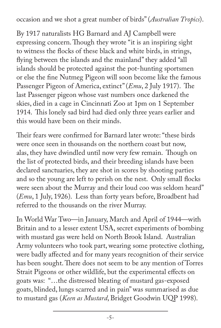occasion and we shot a great number of birds" (*Australian Tropics*).

By 1917 naturalists HG Barnard and AJ Campbell were expressing concern. Though they wrote "it is an inspiring sight to witness the flocks of these black and white birds, in strings, flying between the islands and the mainland" they added "all islands should be protected against the pot-hunting sportsmen or else the fine Nutmeg Pigeon will soon become like the famous Passenger Pigeon of America, extinct" (*Emu*, 2 July 1917). The last Passenger pigeon whose vast numbers once darkened the skies, died in a cage in Cincinnati Zoo at 1pm on 1 September 1914. This lonely sad bird had died only three years earlier and this would have been on their minds.

Their fears were confirmed for Barnard later wrote: "these birds were once seen in thousands on the northern coast but now, alas, they have dwindled until now very few remain. Though on the list of protected birds, and their breeding islands have been declared sanctuaries, they are shot in scores by shooting parties and so the young are left to perish on the nest. Only small flocks were seen about the Murray and their loud coo was seldom heard" (*Emu*, 1 July, 1926). Less than forty years before, Broadbent had referred to the thousands on the river Murray.

In World War Two—in January, March and April of 1944—with Britain and to a lesser extent USA, secret experiments of bombing with mustard gas were held on North Brook Island. Australian Army volunteers who took part, wearing some protective clothing, were badly affected and for many years recognition of their service has been sought. There does not seem to be any mention of Torres Strait Pigeons or other wildlife, but the experimental effects on goats was: "…the distressed bleating of mustard gas-exposed goats, blinded, lungs scarred and in pain" was summarised as due to mustard gas (*Keen as Mustard*, Bridget Goodwin UQP 1998).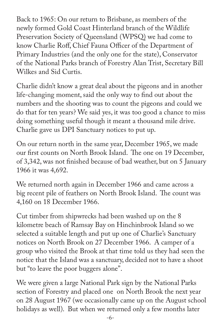Back to 1965: On our return to Brisbane, as members of the newly formed Gold Coast Hinterland branch of the Wildlife Preservation Society of Queensland (WPSQ) we had come to know Charlie Roff, Chief Fauna Officer of the Department of Primary Industries (and the only one for the state), Conservator of the National Parks branch of Forestry Alan Trist, Secretary Bill Wilkes and Sid Curtis.

Charlie didn't know a great deal about the pigeons and in another life-changing moment, said the only way to find out about the numbers and the shooting was to count the pigeons and could we do that for ten years? We said yes, it was too good a chance to miss doing something useful though it meant a thousand mile drive. Charlie gave us DPI Sanctuary notices to put up.

On our return north in the same year, December 1965, we made our first counts on North Brook Island. The one on 19 December, of 3,342, was not finished because of bad weather, but on 5 January 1966 it was 4,692.

We returned north again in December 1966 and came across a big recent pile of feathers on North Brook Island. The count was 4,160 on 18 December 1966.

Cut timber from shipwrecks had been washed up on the 8 kilometre beach of Ramsay Bay on Hinchinbrook Island so we selected a suitable length and put up one of Charlie's Sanctuary notices on North Brook on 27 December 1966. A camper of a group who visited the Brook at that time told us they had seen the notice that the Island was a sanctuary, decided not to have a shoot but "to leave the poor buggers alone".

We were given a large National Park sign by the National Parks section of Forestry and placed one on North Brook the next year on 28 August 1967 (we occasionally came up on the August school holidays as well). But when we returned only a few months later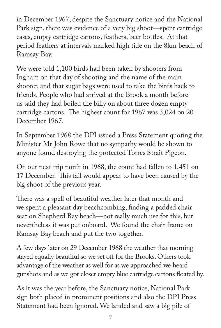in December 1967, despite the Sanctuary notice and the National Park sign, there was evidence of a very big shoot—spent cartridge cases, empty cartridge cartons, feathers, beer bottles. At that period feathers at intervals marked high tide on the 8km beach of Ramsay Bay.

We were told 1,100 birds had been taken by shooters from Ingham on that day of shooting and the name of the main shooter, and that sugar bags were used to take the birds back to friends. People who had arrived at the Brook a month before us said they had boiled the billy on about three dozen empty cartridge cartons. The highest count for 1967 was 3,024 on 20 December 1967.

In September 1968 the DPI issued a Press Statement quoting the Minister Mr John Rowe that no sympathy would be shown to anyone found destroying the protected Torres Strait Pigeon.

On our next trip north in 1968, the count had fallen to 1,451 on 17 December. This fall would appear to have been caused by the big shoot of the previous year.

There was a spell of beautiful weather later that month and we spent a pleasant day beachcombing, finding a padded chair seat on Shepherd Bay beach—not really much use for this, but nevertheless it was put onboard. We found the chair frame on Ramsay Bay beach and put the two together.

A few days later on 29 December 1968 the weather that morning stayed equally beautiful so we set off for the Brooks. Others took advantage of the weather as well for as we approached we heard gunshots and as we got closer empty blue cartridge cartons floated by.

As it was the year before, the Sanctuary notice, National Park sign both placed in prominent positions and also the DPI Press Statement had been ignored. We landed and saw a big pile of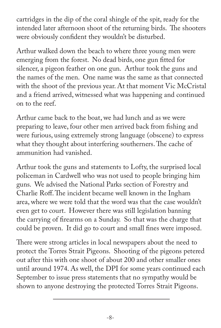cartridges in the dip of the coral shingle of the spit, ready for the intended later afternoon shoot of the returning birds. The shooters were obviously confident they wouldn't be disturbed.

Arthur walked down the beach to where three young men were emerging from the forest. No dead birds, one gun fitted for silencer, a pigeon feather on one gun. Arthur took the guns and the names of the men. One name was the same as that connected with the shoot of the previous year. At that moment Vic McCristal and a friend arrived, witnessed what was happening and continued on to the reef.

Arthur came back to the boat, we had lunch and as we were preparing to leave, four other men arrived back from fishing and were furious, using extremely strong language (obscene) to express what they thought about interfering southerners. The cache of ammunition had vanished.

Arthur took the guns and statements to Lofty, the surprised local policeman in Cardwell who was not used to people bringing him guns. We advised the National Parks section of Forestry and Charlie Roff. The incident became well known in the Ingham area, where we were told that the word was that the case wouldn't even get to court. However there was still legislation banning the carrying of firearms on a Sunday. So that was the charge that could be proven. It did go to court and small fines were imposed.

There were strong articles in local newspapers about the need to protect the Torres Strait Pigeons. Shooting of the pigeons petered out after this with one shoot of about 200 and other smaller ones until around 1974. As well, the DPI for some years continued each September to issue press statements that no sympathy would be shown to anyone destroying the protected Torres Strait Pigeons.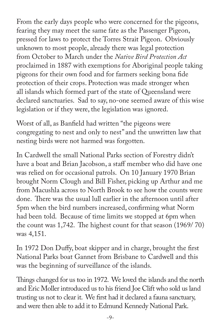From the early days people who were concerned for the pigeons, fearing they may meet the same fate as the Passenger Pigeon, pressed for laws to protect the Torres Strait Pigeon. Obviously unknown to most people, already there was legal protection from October to March under the *Native Bird Protection Act* proclaimed in 1887 with exemptions for Aboriginal people taking pigeons for their own food and for farmers seeking bona fide protection of their crops. Protection was made stronger when all islands which formed part of the state of Queensland were declared sanctuaries. Sad to say, no-one seemed aware of this wise legislation or if they were, the legislation was ignored.

Worst of all, as Banfield had written "the pigeons were congregating to nest and only to nest" and the unwritten law that nesting birds were not harmed was forgotten.

In Cardwell the small National Parks section of Forestry didn't have a boat and Brian Jacobson, a staff member who did have one was relied on for occasional patrols. On 10 January 1970 Brian brought Norm Clough and Bill Fisher, picking up Arthur and me from Macushla across to North Brook to see how the counts were done. There was the usual lull earlier in the afternoon until after 5pm when the bird numbers increased, confirming what Norm had been told. Because of time limits we stopped at 6pm when the count was 1,742. The highest count for that season (1969/ 70) was 4,151.

In 1972 Don Duffy, boat skipper and in charge, brought the first National Parks boat Gannet from Brisbane to Cardwell and this was the beginning of surveillance of the islands.

Things changed for us too in 1972. We loved the islands and the north and Eric Moller introduced us to his friend Joe Clift who sold us land trusting us not to clear it. We first had it declared a fauna sanctuary, and were then able to add it to Edmund Kennedy National Park.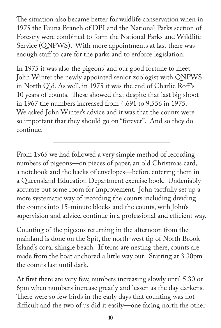The situation also became better for wildlife conservation when in 1975 the Fauna Branch of DPI and the National Parks section of Forestry were combined to form the National Parks and Wildlife Service (QNPWS). With more appointments at last there was enough staff to care for the parks and to enforce legislation.

In 1975 it was also the pigeons' and our good fortune to meet John Winter the newly appointed senior zoologist with QNPWS in North Old. As well, in 1975 it was the end of Charlie Roff's 10 years of counts. These showed that despite that last big shoot in 1967 the numbers increased from 4,691 to 9,556 in 1975. We asked John Winter's advice and it was that the counts were so important that they should go on "forever". And so they do continue.

From 1965 we had followed a very simple method of recording numbers of pigeons—on pieces of paper, an old Christmas card, a notebook and the backs of envelopes—before entering them in a Queensland Education Department exercise book. Undeniably accurate but some room for improvement. John tactfully set up a more systematic way of recording the counts including dividing the counts into 15-minute blocks and the counts, with John's supervision and advice, continue in a professional and efficient way.

Counting of the pigeons returning in the afternoon from the mainland is done on the Spit, the north-west tip of North Brook Island's coral shingle beach. If terns are nesting there, counts are made from the boat anchored a little way out. Starting at 3.30pm the counts last until dark.

At first there are very few, numbers increasing slowly until 5.30 or 6pm when numbers increase greatly and lessen as the day darkens. There were so few birds in the early days that counting was not difficult and the two of us did it easily—one facing north the other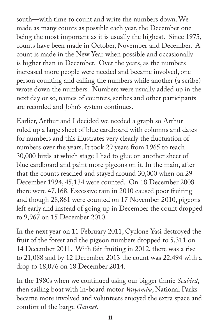south—with time to count and write the numbers down. We made as many counts as possible each year, the December one being the most important as it is usually the highest. Since 1975, counts have been made in October, November and December. A count is made in the New Year when possible and occasionally is higher than in December. Over the years, as the numbers increased more people were needed and became involved, one person counting and calling the numbers while another (a scribe) wrote down the numbers. Numbers were usually added up in the next day or so, names of counters, scribes and other participants are recorded and John's system continues.

Earlier, Arthur and I decided we needed a graph so Arthur ruled up a large sheet of blue cardboard with columns and dates for numbers and this illustrates very clearly the fluctuation of numbers over the years. It took 29 years from 1965 to reach 30,000 birds at which stage I had to glue on another sheet of blue cardboard and paint more pigeons on it. In the main, after that the counts reached and stayed around 30,000 when on 29 December 1994, 45,134 were counted. On 18 December 2008 there were 47,168. Excessive rain in 2010 caused poor fruiting and though 28,861 were counted on 17 November 2010, pigeons left early and instead of going up in December the count dropped to 9,967 on 15 December 2010.

In the next year on 11 February 2011, Cyclone Yasi destroyed the fruit of the forest and the pigeon numbers dropped to 5,311 on 14 December 2011. With fair fruiting in 2012, there was a rise to 21,088 and by 12 December 2013 the count was 22,494 with a drop to 18,076 on 18 December 2014.

In the 1980s when we continued using our bigger tinnie *Seabird*, then sailing boat with in-board motor *Wayamba*, National Parks became more involved and volunteers enjoyed the extra space and comfort of the barge *Gannet*.